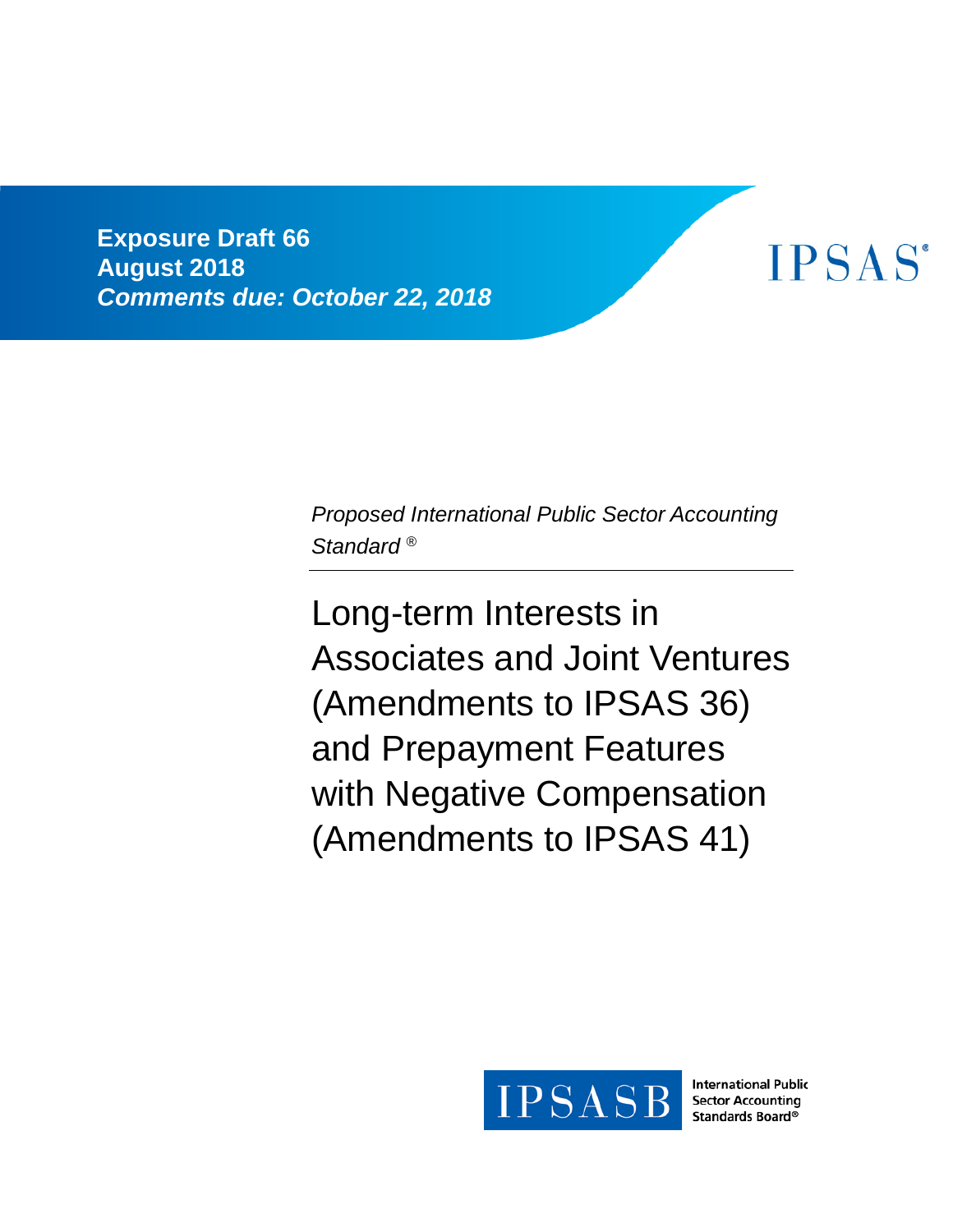**Exposure Draft 66 August 2018** *Comments due: October 22, 2018*



Long-term Interests in Associates and Joint Ventures (Amendments to IPSAS 36) and Prepayment Features with Negative Compensation (Amendments to IPSAS 41)



**International Public Sector Accounting** Standards Board®

**IPSAS**<sup>\*</sup>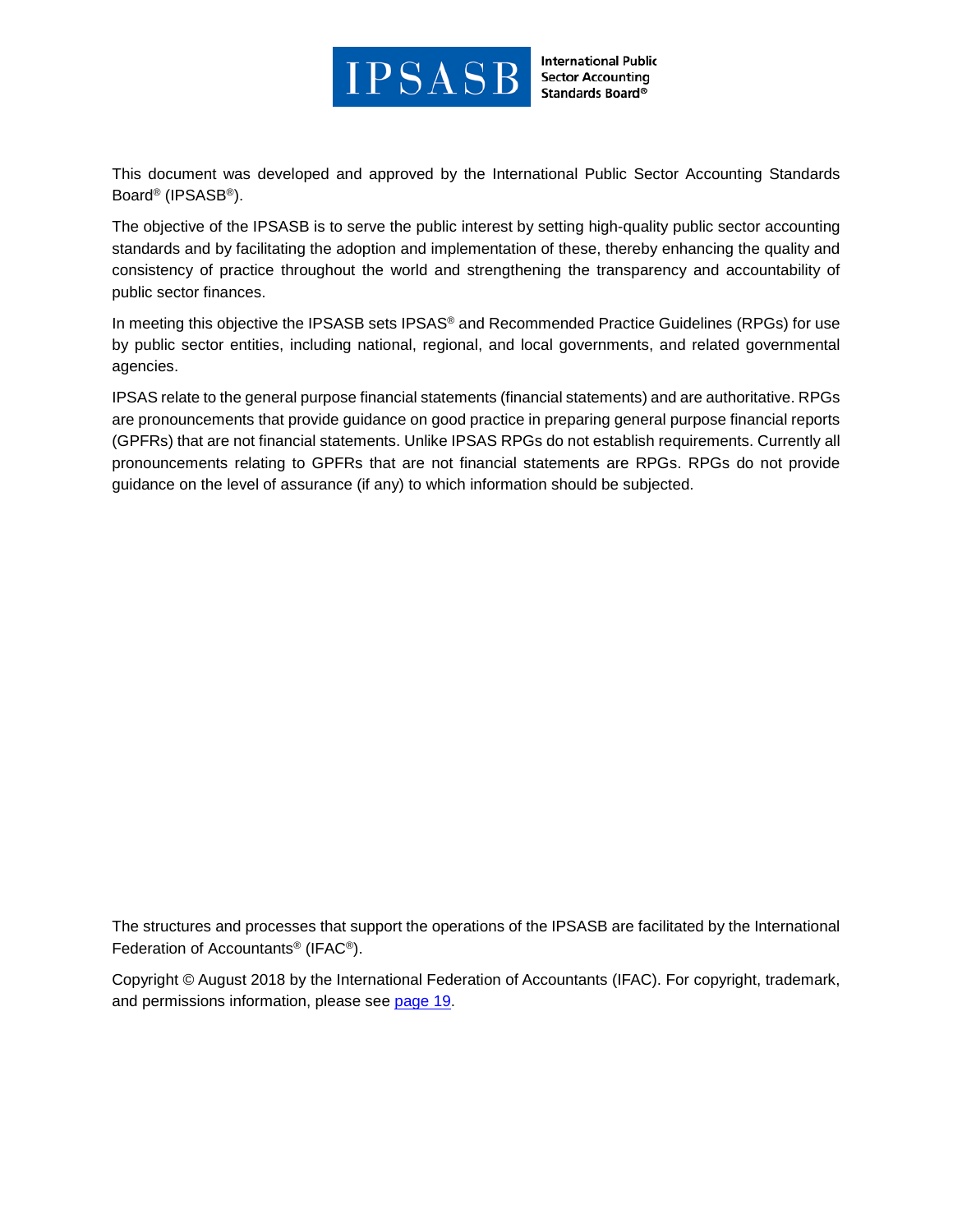

**International Public Sector Accounting** Standards Board®

This document was developed and approved by the International Public Sector Accounting Standards Board® (IPSASB®).

The objective of the IPSASB is to serve the public interest by setting high-quality public sector accounting standards and by facilitating the adoption and implementation of these, thereby enhancing the quality and consistency of practice throughout the world and strengthening the transparency and accountability of public sector finances.

In meeting this objective the IPSASB sets IPSAS<sup>®</sup> and Recommended Practice Guidelines (RPGs) for use by public sector entities, including national, regional, and local governments, and related governmental agencies.

IPSAS relate to the general purpose financial statements (financial statements) and are authoritative. RPGs are pronouncements that provide guidance on good practice in preparing general purpose financial reports (GPFRs) that are not financial statements. Unlike IPSAS RPGs do not establish requirements. Currently all pronouncements relating to GPFRs that are not financial statements are RPGs. RPGs do not provide guidance on the level of assurance (if any) to which information should be subjected.

The structures and processes that support the operations of the IPSASB are facilitated by the International Federation of Accountants® (IFAC®).

Copyright © August 2018 by the International Federation of Accountants (IFAC). For copyright, trademark, and permissions information, please see [page](#page-18-0) 19.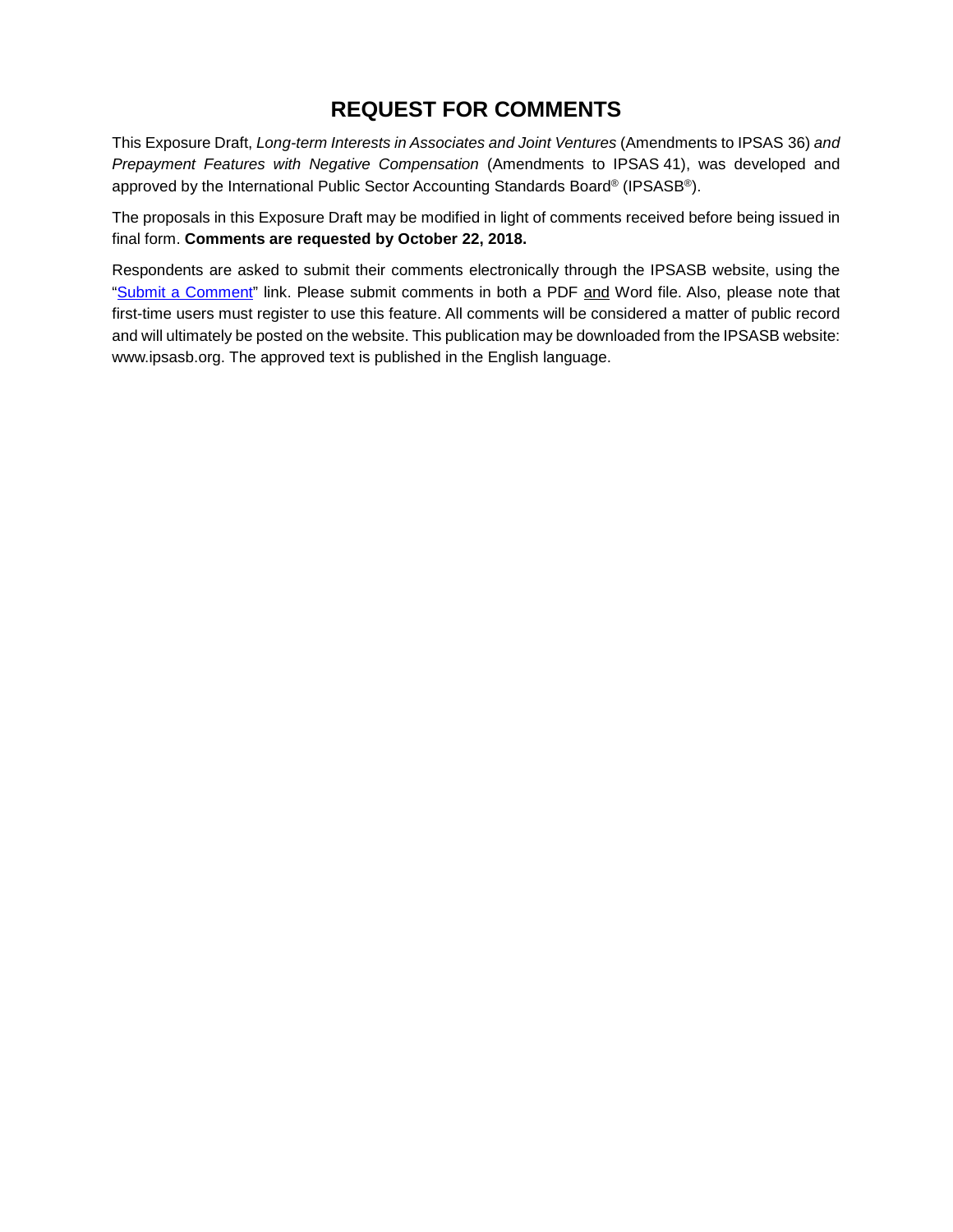# **REQUEST FOR COMMENTS**

This Exposure Draft, *Long-term Interests in Associates and Joint Ventures* (Amendments to IPSAS 36) *and Prepayment Features with Negative Compensation* (Amendments to IPSAS 41), was developed and approved by the International Public Sector Accounting Standards Board® (IPSASB®).

The proposals in this Exposure Draft may be modified in light of comments received before being issued in final form. **Comments are requested by October 22, 2018.**

Respondents are asked to submit their comments electronically through the IPSASB website, using the ["Submit a Comment"](https://www.ifac.org/publications-resources/exposure-draft-66-long-term-interests-associates-and-joint-ventures-and) link. Please submit comments in both a PDF and Word file. Also, please note that first-time users must register to use this feature. All comments will be considered a matter of public record and will ultimately be posted on the website. This publication may be downloaded from the IPSASB website: www.ipsasb.org. The approved text is published in the English language.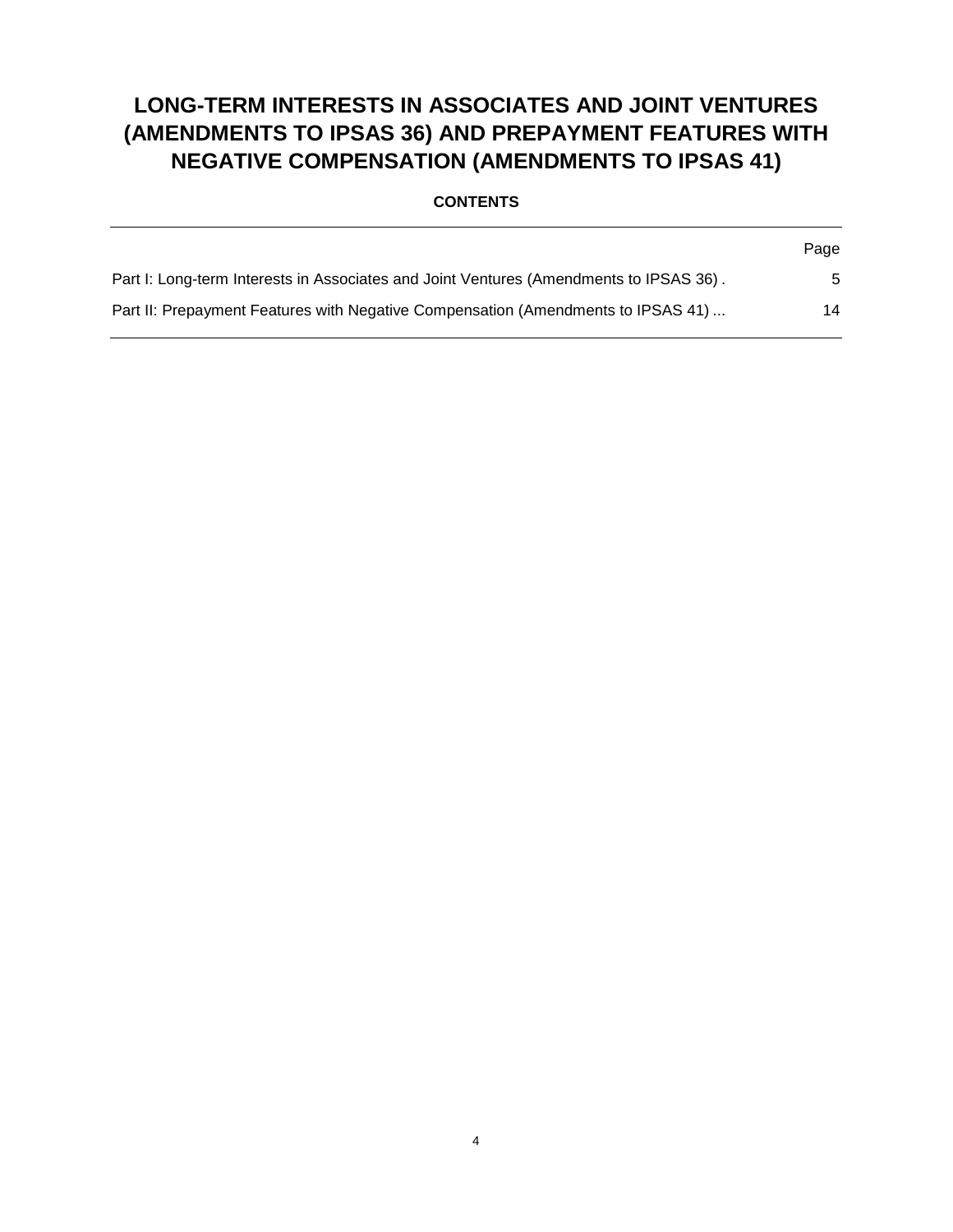### **CONTENTS**

|                                                                                        | Page |
|----------------------------------------------------------------------------------------|------|
| Part I: Long-term Interests in Associates and Joint Ventures (Amendments to IPSAS 36). | 5.   |
| Part II: Prepayment Features with Negative Compensation (Amendments to IPSAS 41)       | 14   |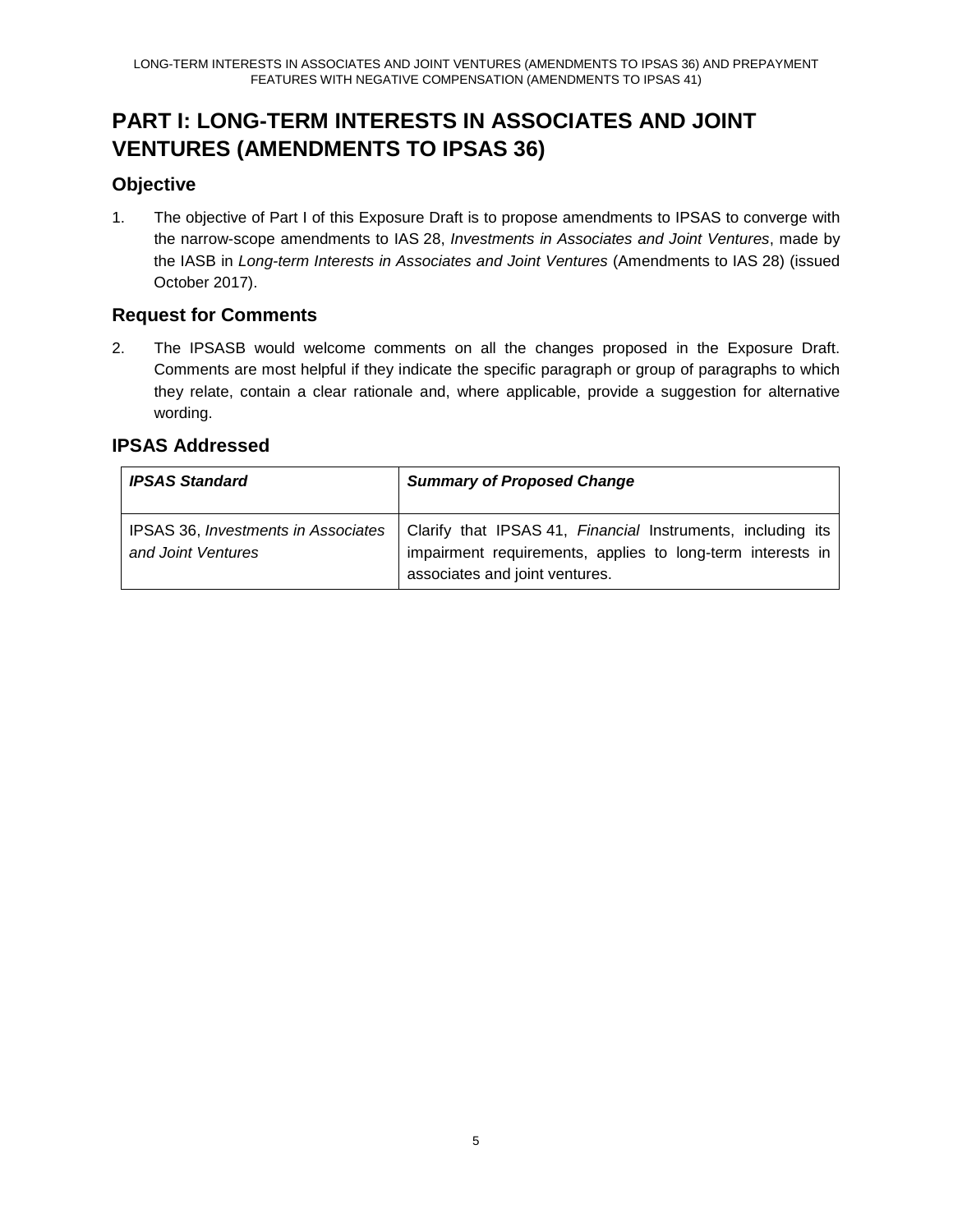# <span id="page-4-0"></span>**PART I: LONG-TERM INTERESTS IN ASSOCIATES AND JOINT VENTURES (AMENDMENTS TO IPSAS 36)**

# **Objective**

1. The objective of Part I of this Exposure Draft is to propose amendments to IPSAS to converge with the narrow-scope amendments to IAS 28, *Investments in Associates and Joint Ventures*, made by the IASB in *Long-term Interests in Associates and Joint Ventures* (Amendments to IAS 28) (issued October 2017).

# **Request for Comments**

2. The IPSASB would welcome comments on all the changes proposed in the Exposure Draft. Comments are most helpful if they indicate the specific paragraph or group of paragraphs to which they relate, contain a clear rationale and, where applicable, provide a suggestion for alternative wording.

# **IPSAS Addressed**

| <b>IPSAS Standard</b>                                     | <b>Summary of Proposed Change</b>                                                                                                                           |
|-----------------------------------------------------------|-------------------------------------------------------------------------------------------------------------------------------------------------------------|
| IPSAS 36, Investments in Associates<br>and Joint Ventures | Clarify that IPSAS 41, Financial Instruments, including its<br>impairment requirements, applies to long-term interests in<br>associates and joint ventures. |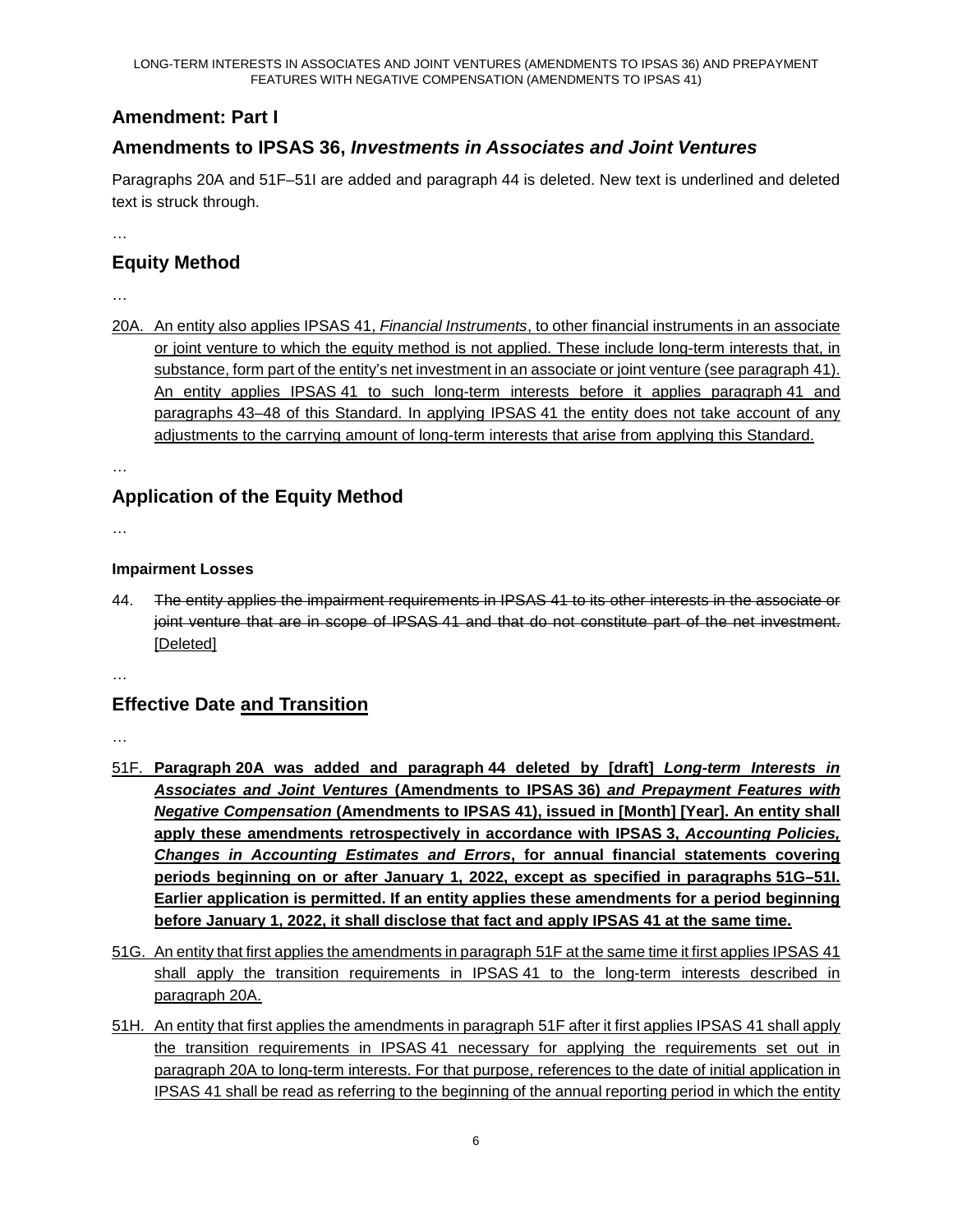# **Amendment: Part I**

# **Amendments to IPSAS 36,** *Investments in Associates and Joint Ventures*

Paragraphs 20A and 51F–51I are added and paragraph 44 is deleted. New text is underlined and deleted text is struck through.

…

# **Equity Method**

…

20A. An entity also applies IPSAS 41, *Financial Instruments*, to other financial instruments in an associate or joint venture to which the equity method is not applied. These include long-term interests that, in substance, form part of the entity's net investment in an associate or joint venture (see paragraph 41). An entity applies IPSAS 41 to such long-term interests before it applies paragraph 41 and paragraphs 43–48 of this Standard. In applying IPSAS 41 the entity does not take account of any adjustments to the carrying amount of long-term interests that arise from applying this Standard.

…

# **Application of the Equity Method**

…

### **Impairment Losses**

44. The entity applies the impairment requirements in IPSAS 41 to its other interests in the associate or joint venture that are in scope of IPSAS 41 and that do not constitute part of the net investment. [Deleted]

…

# **Effective Date and Transition**

…

- 51F. **Paragraph 20A was added and paragraph 44 deleted by [draft]** *Long-term Interests in Associates and Joint Ventures* **(Amendments to IPSAS 36)** *and Prepayment Features with Negative Compensation* **(Amendments to IPSAS 41), issued in [Month] [Year]. An entity shall apply these amendments retrospectively in accordance with IPSAS 3,** *Accounting Policies, Changes in Accounting Estimates and Errors***, for annual financial statements covering periods beginning on or after January 1, 2022, except as specified in paragraphs 51G–51I. Earlier application is permitted. If an entity applies these amendments for a period beginning before January 1, 2022, it shall disclose that fact and apply IPSAS 41 at the same time.**
- 51G. An entity that first applies the amendments in paragraph 51F at the same time it first applies IPSAS 41 shall apply the transition requirements in IPSAS 41 to the long-term interests described in paragraph 20A.
- 51H. An entity that first applies the amendments in paragraph 51F after it first applies IPSAS 41 shall apply the transition requirements in IPSAS 41 necessary for applying the requirements set out in paragraph 20A to long-term interests. For that purpose, references to the date of initial application in IPSAS 41 shall be read as referring to the beginning of the annual reporting period in which the entity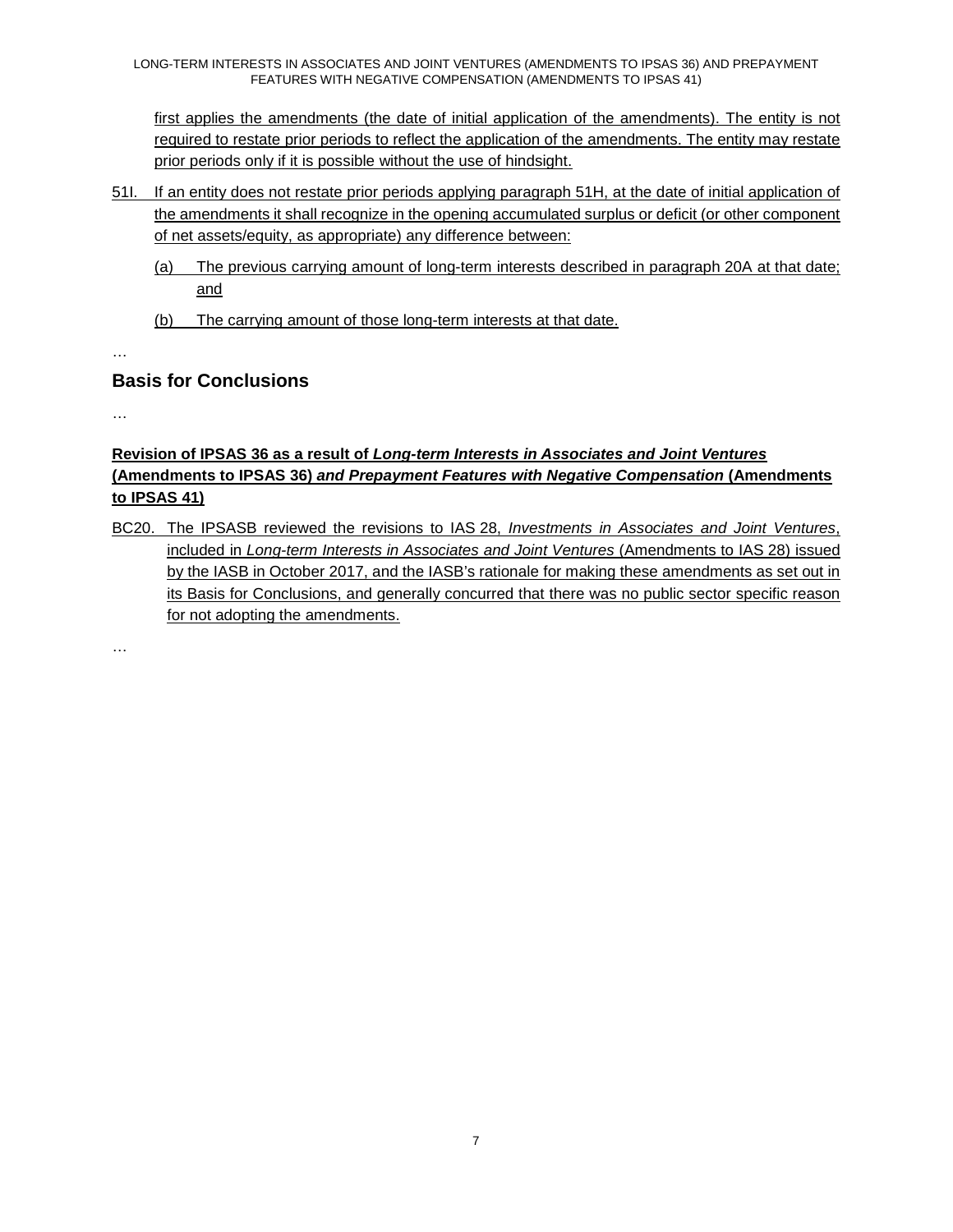first applies the amendments (the date of initial application of the amendments). The entity is not required to restate prior periods to reflect the application of the amendments. The entity may restate prior periods only if it is possible without the use of hindsight.

- 51I. If an entity does not restate prior periods applying paragraph 51H, at the date of initial application of the amendments it shall recognize in the opening accumulated surplus or deficit (or other component of net assets/equity, as appropriate) any difference between:
	- (a) The previous carrying amount of long-term interests described in paragraph 20A at that date; and
	- (b) The carrying amount of those long-term interests at that date.

…

# **Basis for Conclusions**

…

…

# **Revision of IPSAS 36 as a result of** *Long-term Interests in Associates and Joint Ventures*  **(Amendments to IPSAS 36)** *and Prepayment Features with Negative Compensation* **(Amendments to IPSAS 41)**

BC20. The IPSASB reviewed the revisions to IAS 28, *Investments in Associates and Joint Ventures*, included in *Long-term Interests in Associates and Joint Ventures* (Amendments to IAS 28) issued by the IASB in October 2017, and the IASB's rationale for making these amendments as set out in its Basis for Conclusions, and generally concurred that there was no public sector specific reason for not adopting the amendments.

7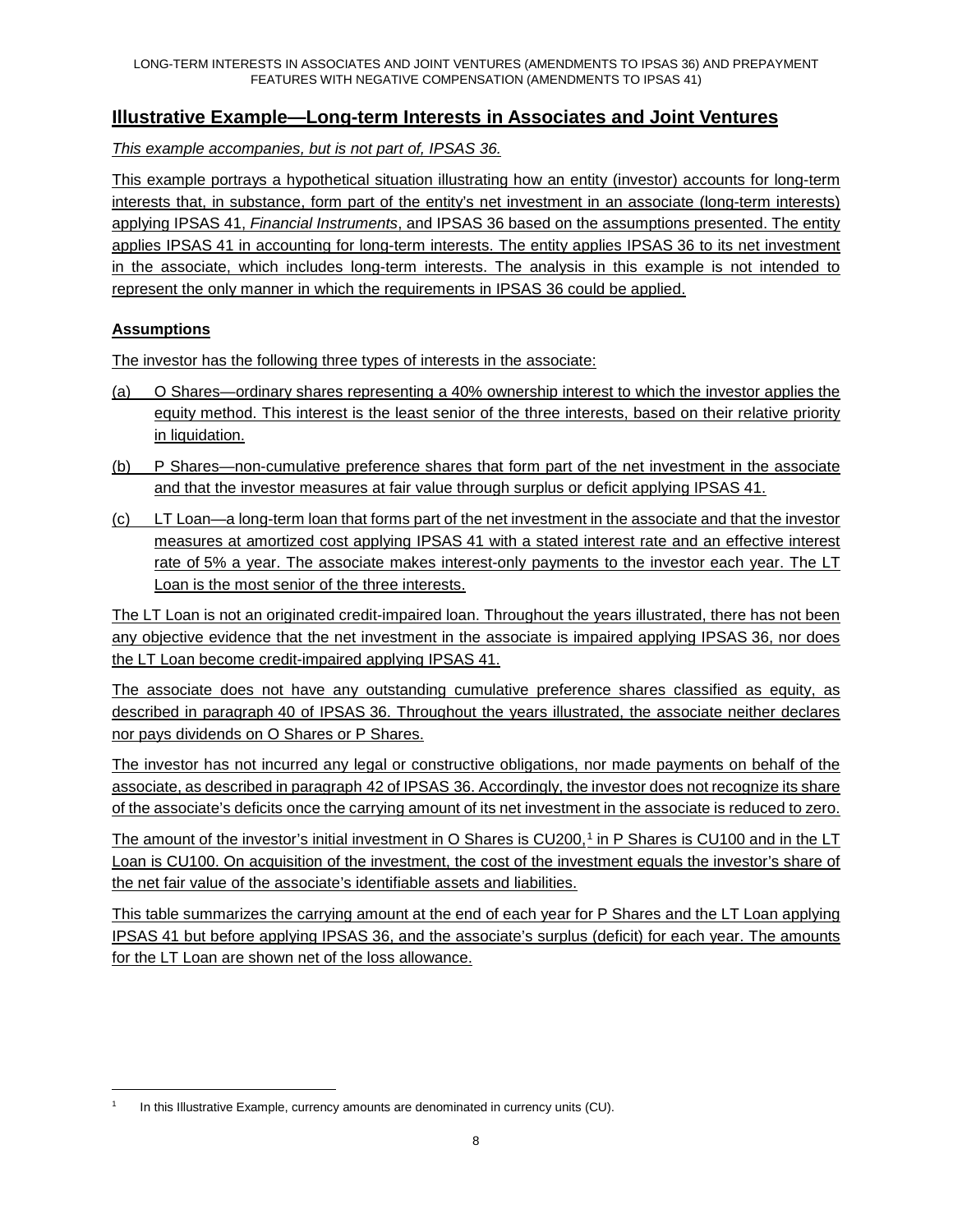# **Illustrative Example—Long-term Interests in Associates and Joint Ventures**

*This example accompanies, but is not part of, IPSAS 36.*

This example portrays a hypothetical situation illustrating how an entity (investor) accounts for long-term interests that, in substance, form part of the entity's net investment in an associate (long-term interests) applying IPSAS 41, *Financial Instruments*, and IPSAS 36 based on the assumptions presented. The entity applies IPSAS 41 in accounting for long-term interests. The entity applies IPSAS 36 to its net investment in the associate, which includes long-term interests. The analysis in this example is not intended to represent the only manner in which the requirements in IPSAS 36 could be applied.

### **Assumptions**

The investor has the following three types of interests in the associate:

- (a) O Shares—ordinary shares representing a 40% ownership interest to which the investor applies the equity method. This interest is the least senior of the three interests, based on their relative priority in liquidation.
- (b) P Shares—non-cumulative preference shares that form part of the net investment in the associate and that the investor measures at fair value through surplus or deficit applying IPSAS 41.
- (c) LT Loan—a long-term loan that forms part of the net investment in the associate and that the investor measures at amortized cost applying IPSAS 41 with a stated interest rate and an effective interest rate of 5% a year. The associate makes interest-only payments to the investor each year. The LT Loan is the most senior of the three interests.

The LT Loan is not an originated credit-impaired loan. Throughout the years illustrated, there has not been any objective evidence that the net investment in the associate is impaired applying IPSAS 36, nor does the LT Loan become credit-impaired applying IPSAS 41.

The associate does not have any outstanding cumulative preference shares classified as equity, as described in paragraph 40 of IPSAS 36. Throughout the years illustrated, the associate neither declares nor pays dividends on O Shares or P Shares.

The investor has not incurred any legal or constructive obligations, nor made payments on behalf of the associate, as described in paragraph 42 of IPSAS 36. Accordingly, the investor does not recognize its share of the associate's deficits once the carrying amount of its net investment in the associate is reduced to zero.

The amount of the investor's initial investment in O Shares is CU200,<sup>[1](#page-7-0)</sup> in P Shares is CU100 and in the LT Loan is CU100. On acquisition of the investment, the cost of the investment equals the investor's share of the net fair value of the associate's identifiable assets and liabilities.

This table summarizes the carrying amount at the end of each year for P Shares and the LT Loan applying IPSAS 41 but before applying IPSAS 36, and the associate's surplus (deficit) for each year. The amounts for the LT Loan are shown net of the loss allowance.

<span id="page-7-0"></span>In this Illustrative Example, currency amounts are denominated in currency units (CU).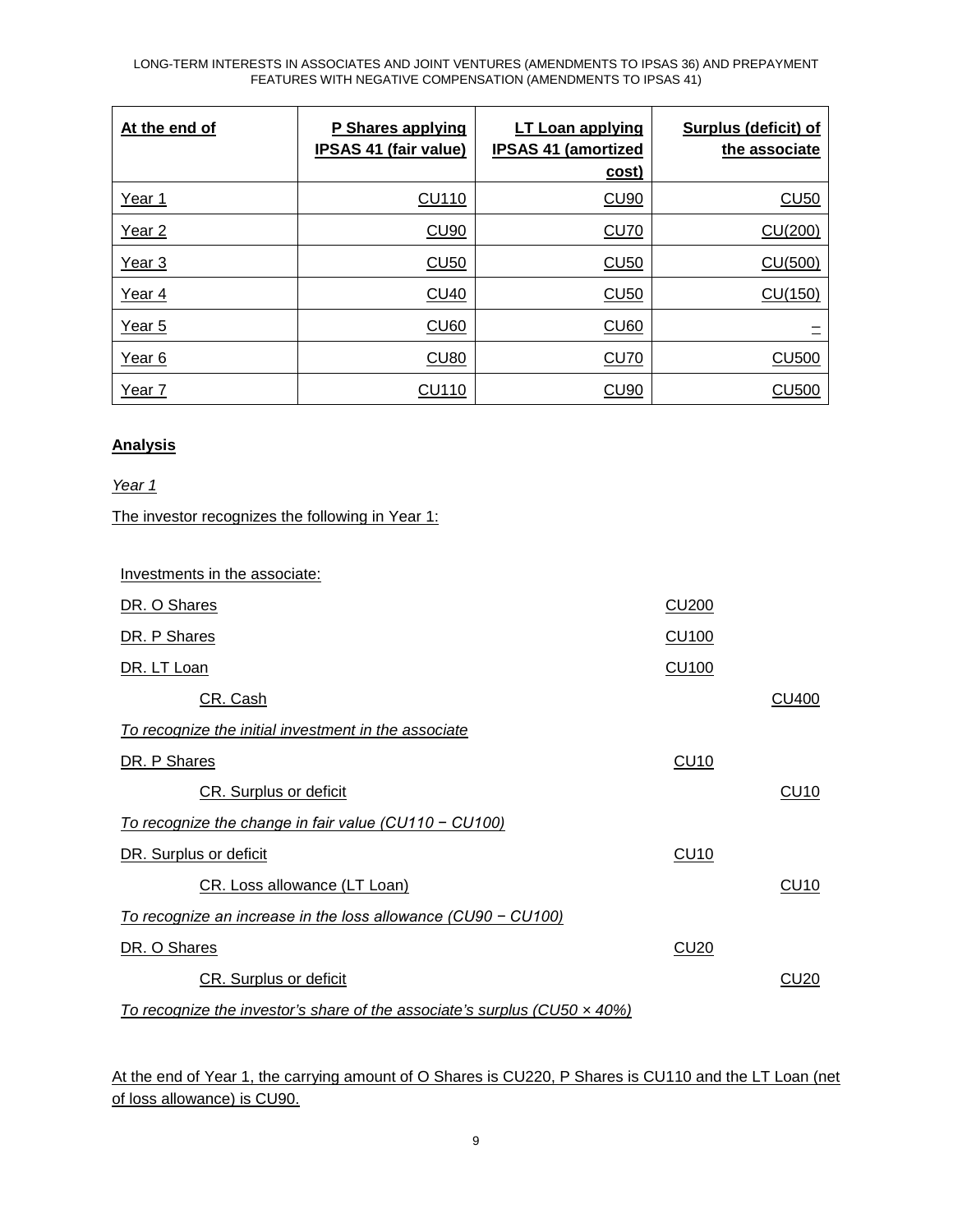| At the end of     | P Shares applying<br><b>IPSAS 41 (fair value)</b> | <b>LT Loan applying</b><br><b>IPSAS 41 (amortized</b><br>cost) | Surplus (deficit) of<br>the associate |
|-------------------|---------------------------------------------------|----------------------------------------------------------------|---------------------------------------|
| Year <sub>1</sub> | <b>CU110</b>                                      | <b>CU90</b>                                                    | CU50                                  |
| Year <sub>2</sub> | <b>CU90</b>                                       | <b>CU70</b>                                                    | CU(200)                               |
| Year 3            | <b>CU50</b>                                       | <b>CU50</b>                                                    | CU(500)                               |
| Year 4            | <b>CU40</b>                                       | <b>CU50</b>                                                    | CU(150)                               |
| Year 5            | <b>CU60</b>                                       | C <sub>U60</sub>                                               |                                       |
| Year <sub>6</sub> | <b>CU80</b>                                       | <b>CU70</b>                                                    | <b>CU500</b>                          |
| Year <sub>7</sub> | <b>CU110</b>                                      | <b>CU90</b>                                                    | <b>CU500</b>                          |

### **Analysis**

*Year 1*

The investor recognizes the following in Year 1:

| Investments in the associate:                                                    |              |                        |
|----------------------------------------------------------------------------------|--------------|------------------------|
| DR. O Shares                                                                     | <b>CU200</b> |                        |
| DR. P Shares                                                                     | <b>CU100</b> |                        |
| DR. LT Loan                                                                      | <b>CU100</b> |                        |
| CR. Cash                                                                         |              | CU400                  |
| To recognize the initial investment in the associate                             |              |                        |
| DR. P Shares                                                                     | <b>CU10</b>  |                        |
| <b>CR.</b> Surplus or deficit                                                    |              | <u>CU<sub>10</sub></u> |
| To recognize the change in fair value (CU110 - CU100)                            |              |                        |
| DR. Surplus or deficit                                                           | <b>CU10</b>  |                        |
| CR. Loss allowance (LT Loan)                                                     |              | <b>CU10</b>            |
| To recognize an increase in the loss allowance (CU90 - CU100)                    |              |                        |
| DR. O Shares                                                                     | <b>CU20</b>  |                        |
| <b>CR.</b> Surplus or deficit                                                    |              | <b>CU20</b>            |
| To recognize the investor's share of the associate's surplus (CU50 $\times$ 40%) |              |                        |

At the end of Year 1, the carrying amount of O Shares is CU220, P Shares is CU110 and the LT Loan (net of loss allowance) is CU90.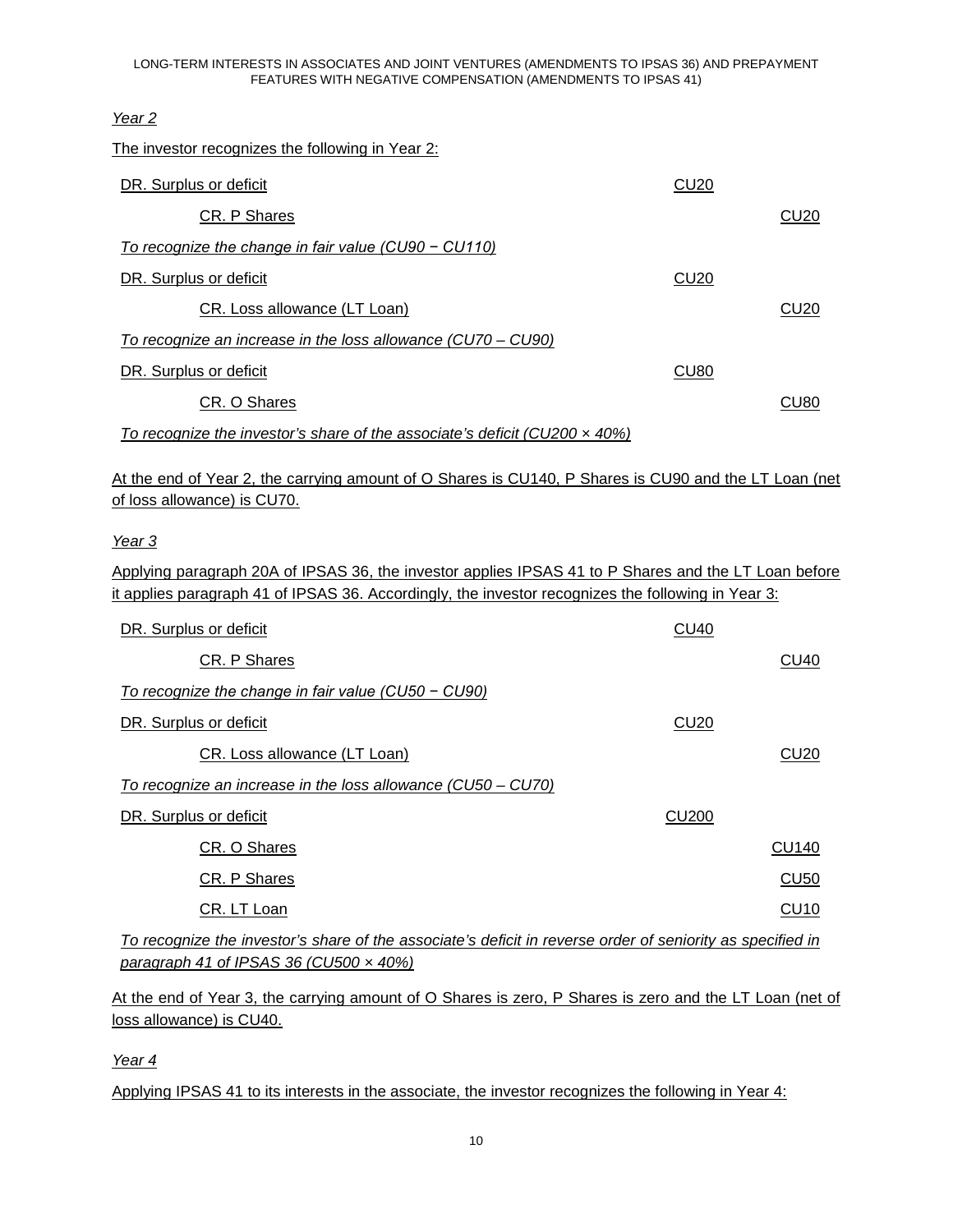#### *Year 2*

| The investor recognizes the following in Year 2:                                  |                  |                  |
|-----------------------------------------------------------------------------------|------------------|------------------|
| DR. Surplus or deficit                                                            | <b>CU20</b>      |                  |
| CR. P Shares                                                                      |                  | CU <sub>20</sub> |
| To recognize the change in fair value (CU90 – CU110)                              |                  |                  |
| DR. Surplus or deficit                                                            | CU <sub>20</sub> |                  |
| CR. Loss allowance (LT Loan)                                                      |                  | CU20             |
| To recognize an increase in the loss allowance (CU70 – CU90)                      |                  |                  |
| DR. Surplus or deficit                                                            | CU <sub>80</sub> |                  |
| CR. O Shares                                                                      |                  | CU <sub>80</sub> |
| To recognize the investor's share of the associate's deficit (CU200 $\times$ 40%) |                  |                  |

At the end of Year 2, the carrying amount of O Shares is CU140, P Shares is CU90 and the LT Loan (net of loss allowance) is CU70.

#### *Year 3*

Applying paragraph 20A of IPSAS 36, the investor applies IPSAS 41 to P Shares and the LT Loan before it applies paragraph 41 of IPSAS 36. Accordingly, the investor recognizes the following in Year 3:

| DR. Surplus or deficit                                       | <b>CU40</b>                                                                                                                                                                                                                       |              |
|--------------------------------------------------------------|-----------------------------------------------------------------------------------------------------------------------------------------------------------------------------------------------------------------------------------|--------------|
| CR. P Shares                                                 |                                                                                                                                                                                                                                   | <b>CU40</b>  |
| To recognize the change in fair value ( $CU50 - CU90$ )      |                                                                                                                                                                                                                                   |              |
| DR. Surplus or deficit                                       | <b>CU20</b>                                                                                                                                                                                                                       |              |
| CR. Loss allowance (LT Loan)                                 |                                                                                                                                                                                                                                   | <b>CU20</b>  |
| To recognize an increase in the loss allowance (CU50 – CU70) |                                                                                                                                                                                                                                   |              |
| DR. Surplus or deficit                                       | <b>CU200</b>                                                                                                                                                                                                                      |              |
| CR. O Shares                                                 |                                                                                                                                                                                                                                   | <b>CU140</b> |
| CR. P Shares                                                 |                                                                                                                                                                                                                                   | <b>CU50</b>  |
| CR. LT Loan                                                  |                                                                                                                                                                                                                                   | <b>CU10</b>  |
|                                                              | $\mathbf{r}$ , and the contract of the contract of the contract of the contract of the contract of the contract of the contract of the contract of the contract of the contract of the contract of the contract of the contract o | .            |

*To recognize the investor's share of the associate's deficit in reverse order of seniority as specified in paragraph 41 of IPSAS 36 (CU500 × 40%)*

At the end of Year 3, the carrying amount of O Shares is zero, P Shares is zero and the LT Loan (net of loss allowance) is CU40.

*Year 4*

Applying IPSAS 41 to its interests in the associate, the investor recognizes the following in Year 4: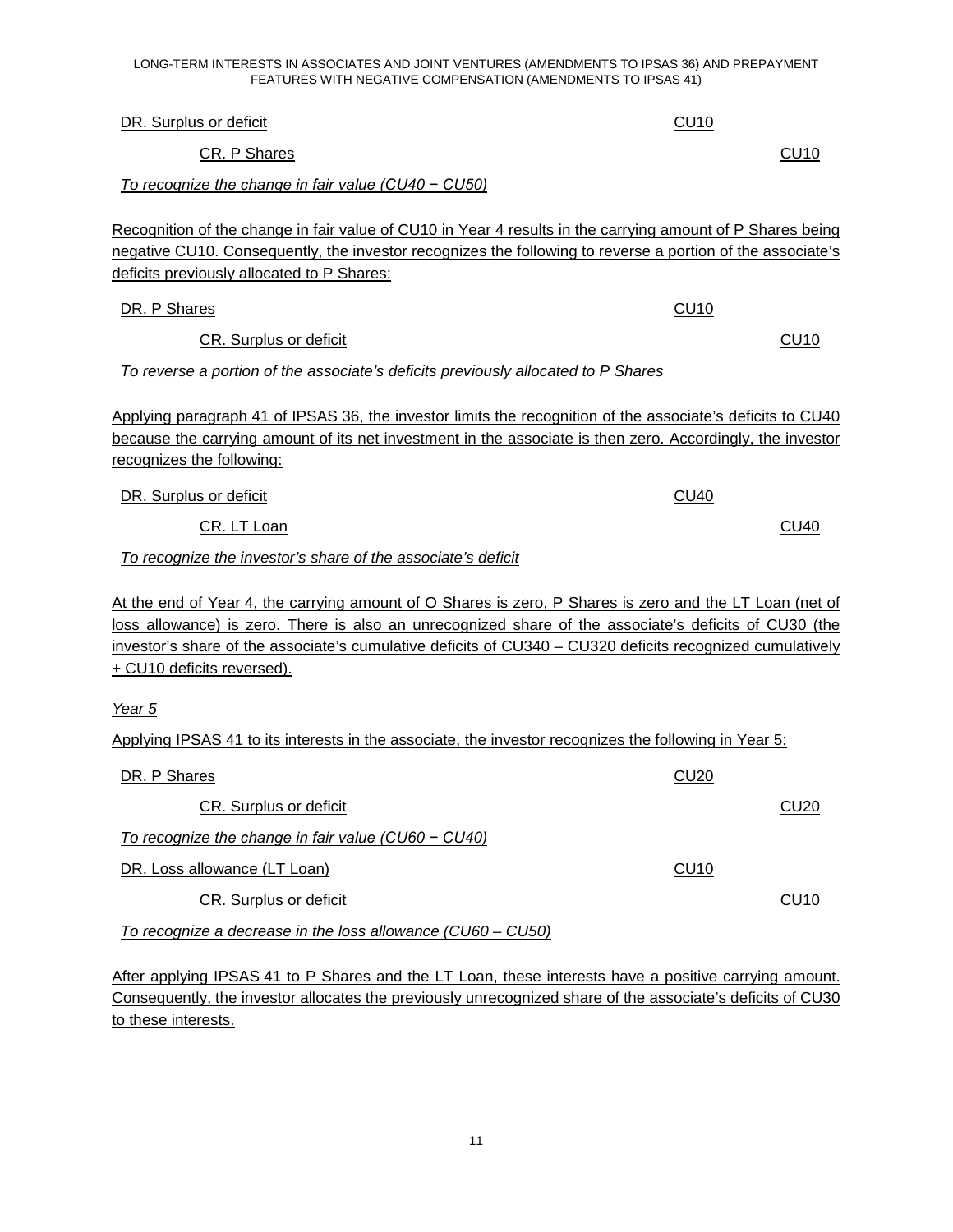| DR. Surplus or deficit                              | CU <sub>10</sub> |
|-----------------------------------------------------|------------------|
| CR. P Shares                                        | CU <sub>10</sub> |
| To recognize the change in fair value (CU40 - CU50) |                  |

Recognition of the change in fair value of CU10 in Year 4 results in the carrying amount of P Shares being negative CU10. Consequently, the investor recognizes the following to reverse a portion of the associate's deficits previously allocated to P Shares:

**DR. P Shares CU10** CR. Surplus or deficit CU10

*To reverse a portion of the associate's deficits previously allocated to P Shares*

Applying paragraph 41 of IPSAS 36, the investor limits the recognition of the associate's deficits to CU40 because the carrying amount of its net investment in the associate is then zero. Accordingly, the investor recognizes the following:

DR. Surplus or deficit **CU40** 

CR. LT Loan CU40

*To recognize the investor's share of the associate's deficit*

At the end of Year 4, the carrying amount of O Shares is zero, P Shares is zero and the LT Loan (net of loss allowance) is zero. There is also an unrecognized share of the associate's deficits of CU30 (the investor's share of the associate's cumulative deficits of CU340 – CU320 deficits recognized cumulatively + CU10 deficits reversed).

*Year 5*

Applying IPSAS 41 to its interests in the associate, the investor recognizes the following in Year 5:

| DR. P Shares                                            | CU <sub>20</sub> |                  |
|---------------------------------------------------------|------------------|------------------|
| CR. Surplus or deficit                                  |                  | CU <sub>20</sub> |
| To recognize the change in fair value ( $CU60 - CU40$ ) |                  |                  |
| DR. Loss allowance (LT Loan)                            | CU <sub>10</sub> |                  |
| CR. Surplus or deficit                                  |                  | CU10             |
|                                                         |                  |                  |

*To recognize a decrease in the loss allowance (CU60 – CU50)*

After applying IPSAS 41 to P Shares and the LT Loan, these interests have a positive carrying amount. Consequently, the investor allocates the previously unrecognized share of the associate's deficits of CU30 to these interests.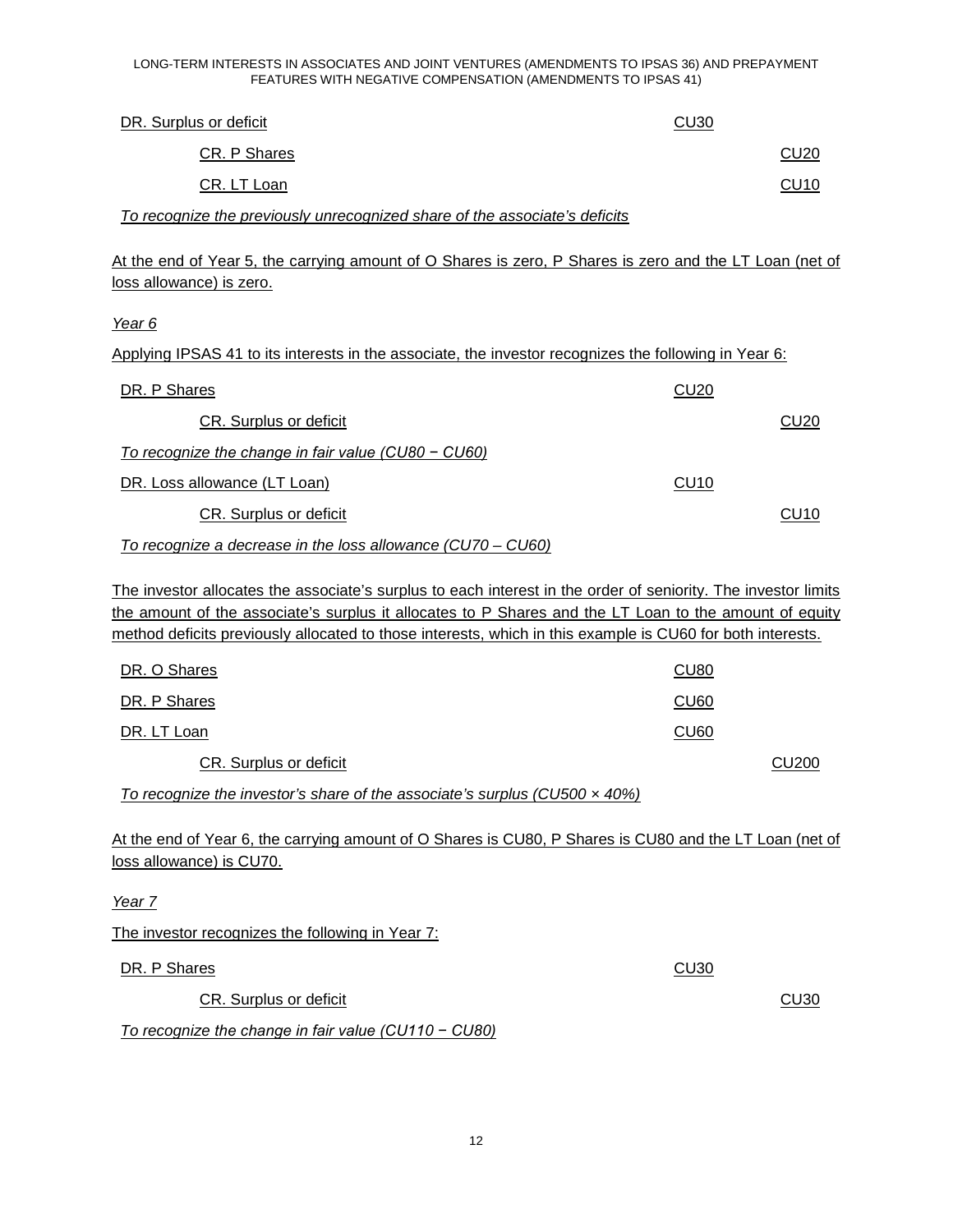| DR. Surplus or deficit | CU <sub>30</sub> |
|------------------------|------------------|
| CR. P Shares           | <u>CU20</u>      |
| CR. LT Loan            | CU <sub>10</sub> |

*To recognize the previously unrecognized share of the associate's deficits*

At the end of Year 5, the carrying amount of O Shares is zero, P Shares is zero and the LT Loan (net of loss allowance) is zero.

#### *Year 6*

Applying IPSAS 41 to its interests in the associate, the investor recognizes the following in Year 6:

| DR. P Shares                                                  | <b>CU20</b>      |                  |
|---------------------------------------------------------------|------------------|------------------|
| CR. Surplus or deficit                                        |                  | CU20             |
| To recognize the change in fair value ( $CU80 - CU60$ )       |                  |                  |
| DR. Loss allowance (LT Loan)                                  | CU <sub>10</sub> |                  |
| CR. Surplus or deficit                                        |                  | CU <sub>10</sub> |
| To recognize a decrease in the loss allowance $(CU70 - CU60)$ |                  |                  |

The investor allocates the associate's surplus to each interest in the order of seniority. The investor limits the amount of the associate's surplus it allocates to P Shares and the LT Loan to the amount of equity method deficits previously allocated to those interests, which in this example is CU60 for both interests.

| DR. O Shares           | <b>CU80</b>  |
|------------------------|--------------|
| DR. P Shares           | <b>CU60</b>  |
| DR. LT Loan            | <b>CU60</b>  |
| CR. Surplus or deficit | <b>CU200</b> |

*To recognize the investor's share of the associate's surplus (CU500 × 40%)*

At the end of Year 6, the carrying amount of O Shares is CU80, P Shares is CU80 and the LT Loan (net of loss allowance) is CU70.

| Year 7                                                 |                  |                  |
|--------------------------------------------------------|------------------|------------------|
| The investor recognizes the following in Year 7:       |                  |                  |
| DR. P Shares                                           | CU <sub>30</sub> |                  |
| CR. Surplus or deficit                                 |                  | CU <sub>30</sub> |
| To recognize the change in fair value $(CU110 - CU80)$ |                  |                  |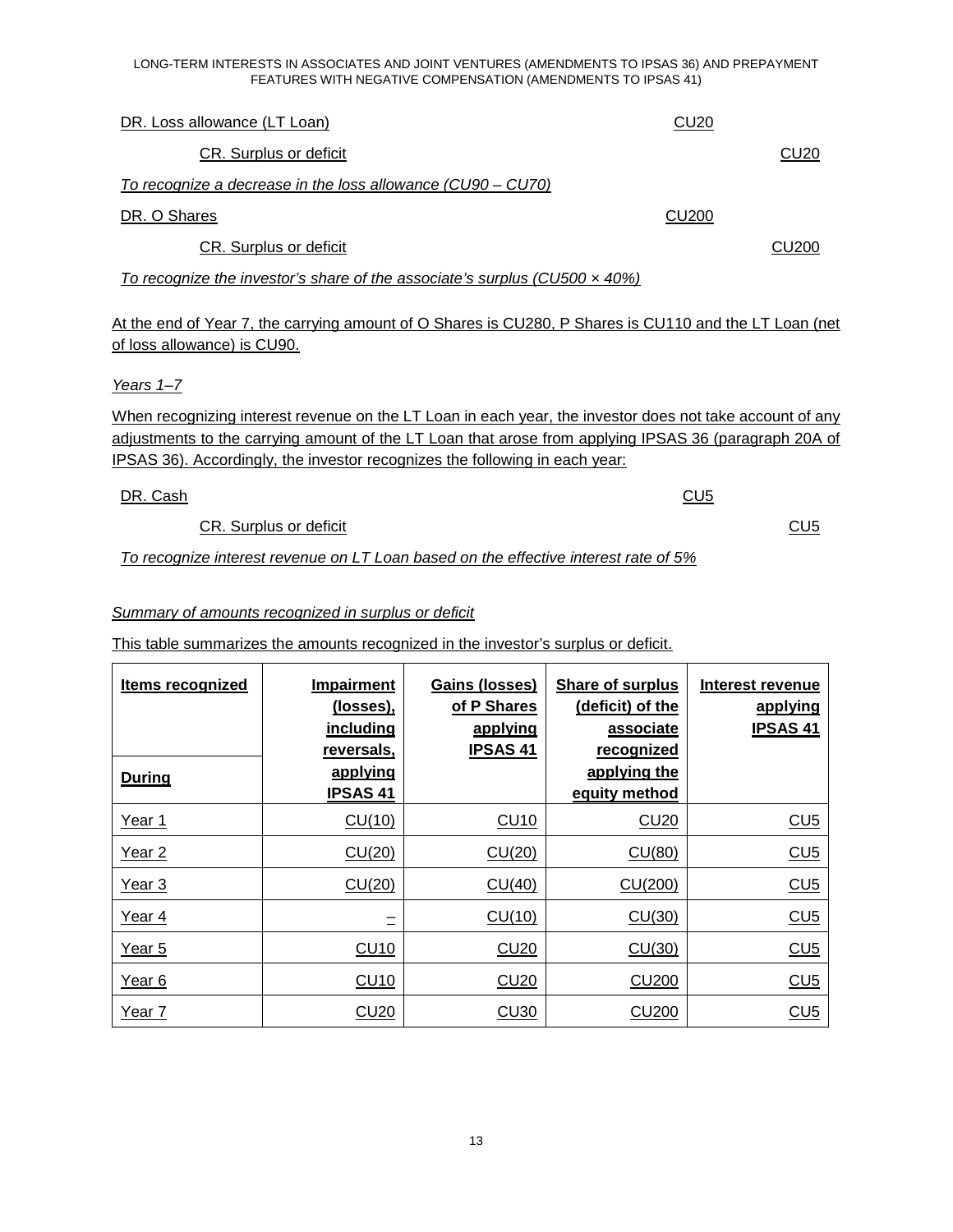| DR. Loss allowance (LT Loan)                                                                           | CU20              |                  |
|--------------------------------------------------------------------------------------------------------|-------------------|------------------|
| CR. Surplus or deficit                                                                                 |                   | CU <sub>20</sub> |
| To recognize a decrease in the loss allowance (CU90 – CU70)                                            |                   |                  |
| DR. O Shares                                                                                           | CU <sub>200</sub> |                  |
| CR. Surplus or deficit                                                                                 |                   | CU200            |
| To recognize the investor's share of the associate's surplus (CU500 $\times$ 40%)                      |                   |                  |
| At the end of Year 7, the carrying amount of O Shares is CU280, P Shares is CU110 and the LT Loan (net |                   |                  |
| of loss allowance) is CU90.                                                                            |                   |                  |

#### *Years 1–7*

When recognizing interest revenue on the LT Loan in each year, the investor does not take account of any adjustments to the carrying amount of the LT Loan that arose from applying IPSAS 36 (paragraph 20A of IPSAS 36). Accordingly, the investor recognizes the following in each year:

DR. Cash CU5

**CR.** Surplus or deficit CU5

*To recognize interest revenue on LT Loan based on the effective interest rate of 5%*

*Summary of amounts recognized in surplus or deficit*

This table summarizes the amounts recognized in the investor's surplus or deficit.

| Items recognized<br><b>During</b> | <b>Impairment</b><br>(losses),<br>including<br>reversals,<br>applying<br><b>IPSAS 41</b> | Gains (losses)<br>of P Shares<br>applying<br><b>IPSAS 41</b> | <b>Share of surplus</b><br>(deficit) of the<br>associate<br>recognized<br>applying the<br>equity method | Interest revenue<br>applying<br><b>IPSAS 41</b> |
|-----------------------------------|------------------------------------------------------------------------------------------|--------------------------------------------------------------|---------------------------------------------------------------------------------------------------------|-------------------------------------------------|
| Year <sub>1</sub>                 | CU(10)                                                                                   | <b>CU10</b>                                                  | <b>CU20</b>                                                                                             | CU5                                             |
| Year 2                            | CU(20)                                                                                   | CU(20)                                                       | CU(80)                                                                                                  | CU5                                             |
| Year <sub>3</sub>                 | CU(20)                                                                                   | CU(40)                                                       | CU(200)                                                                                                 | CU5                                             |
| Year 4                            | Ξ                                                                                        | CU(10)                                                       | CU(30)                                                                                                  | CU5                                             |
| Year 5                            | <b>CU10</b>                                                                              | CU20                                                         | CU(30)                                                                                                  | CU5                                             |
| Year 6                            | <b>CU10</b>                                                                              | <b>CU20</b>                                                  | <b>CU200</b>                                                                                            | CU5                                             |
| Year 7                            | CU20                                                                                     | CU30                                                         | <b>CU200</b>                                                                                            | CU5                                             |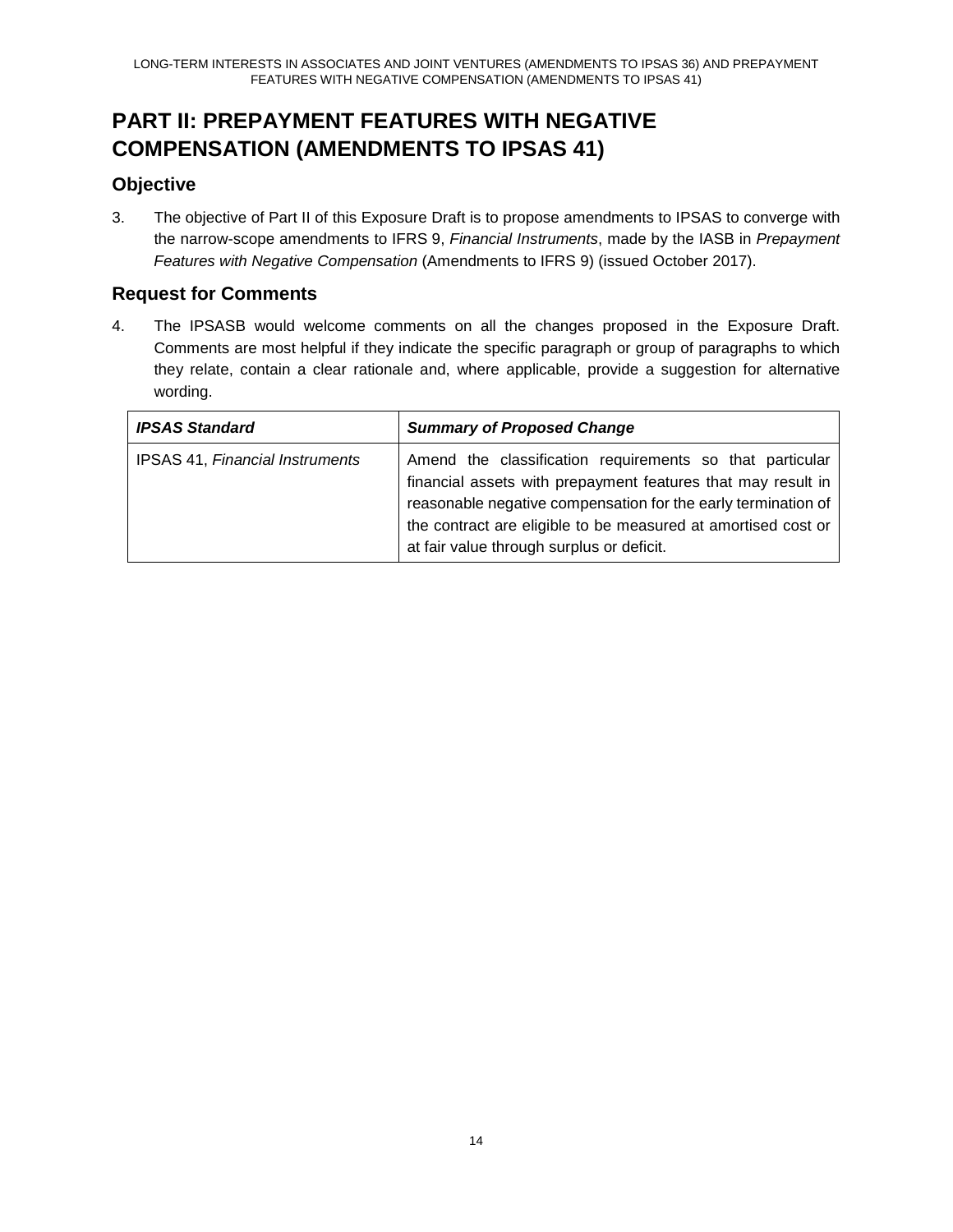# <span id="page-13-0"></span>**PART II: PREPAYMENT FEATURES WITH NEGATIVE COMPENSATION (AMENDMENTS TO IPSAS 41)**

# **Objective**

3. The objective of Part II of this Exposure Draft is to propose amendments to IPSAS to converge with the narrow-scope amendments to IFRS 9, *Financial Instruments*, made by the IASB in *Prepayment Features with Negative Compensation* (Amendments to IFRS 9) (issued October 2017).

# **Request for Comments**

4. The IPSASB would welcome comments on all the changes proposed in the Exposure Draft. Comments are most helpful if they indicate the specific paragraph or group of paragraphs to which they relate, contain a clear rationale and, where applicable, provide a suggestion for alternative wording.

| <b>IPSAS Standard</b>                  | <b>Summary of Proposed Change</b>                                                                                                                                                                                                                                                                       |
|----------------------------------------|---------------------------------------------------------------------------------------------------------------------------------------------------------------------------------------------------------------------------------------------------------------------------------------------------------|
| <b>IPSAS 41, Financial Instruments</b> | Amend the classification requirements so that particular<br>financial assets with prepayment features that may result in<br>reasonable negative compensation for the early termination of<br>the contract are eligible to be measured at amortised cost or<br>at fair value through surplus or deficit. |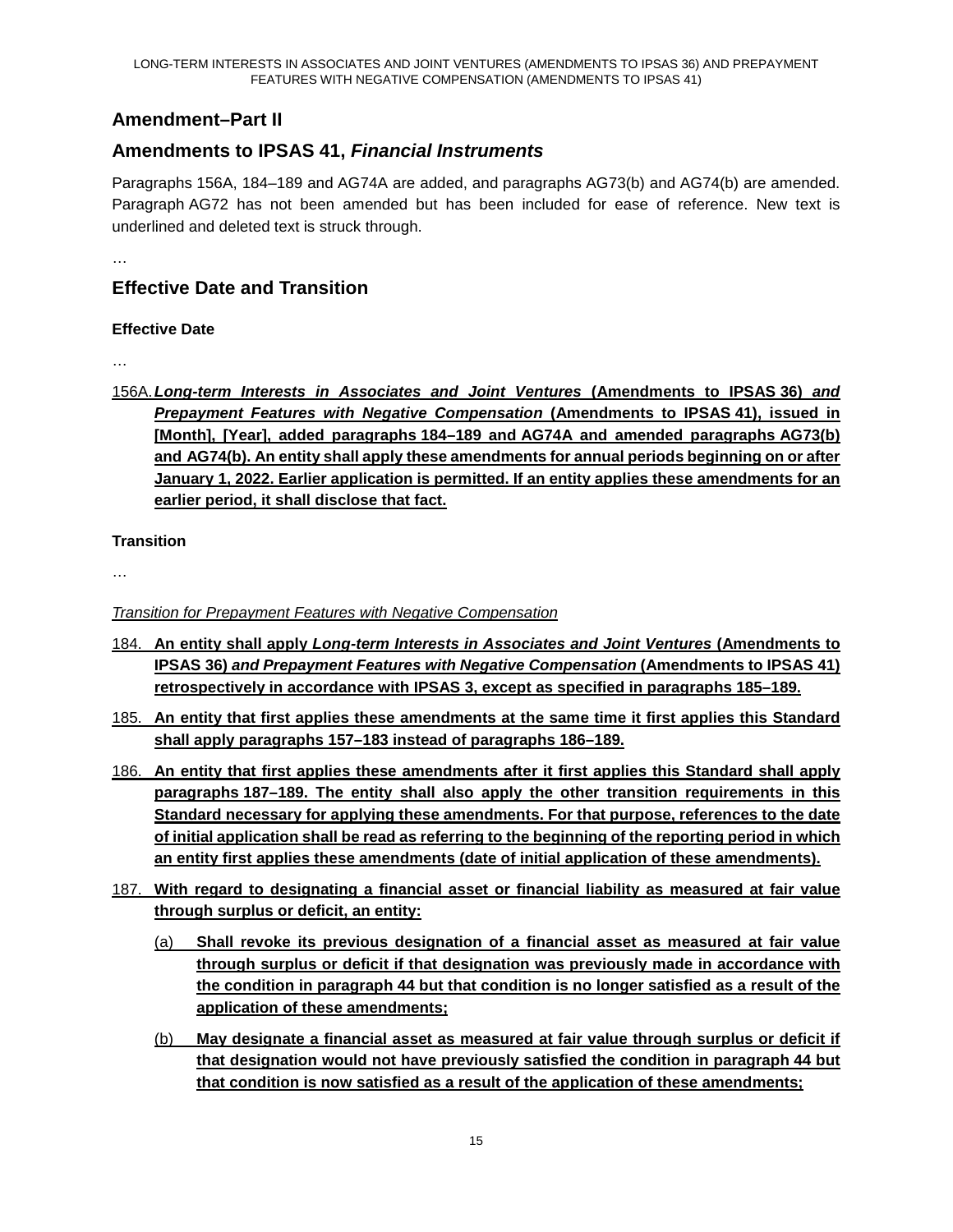# **Amendment–Part II**

# **Amendments to IPSAS 41,** *Financial Instruments*

Paragraphs 156A, 184–189 and AG74A are added, and paragraphs AG73(b) and AG74(b) are amended. Paragraph AG72 has not been amended but has been included for ease of reference. New text is underlined and deleted text is struck through.

…

# **Effective Date and Transition**

### **Effective Date**

…

156A.*Long-term Interests in Associates and Joint Ventures* **(Amendments to IPSAS 36)** *and Prepayment Features with Negative Compensation* **(Amendments to IPSAS 41), issued in [Month], [Year], added paragraphs 184–189 and AG74A and amended paragraphs AG73(b) and AG74(b). An entity shall apply these amendments for annual periods beginning on or after January 1, 2022. Earlier application is permitted. If an entity applies these amendments for an earlier period, it shall disclose that fact.**

**Transition**

…

### *Transition for Prepayment Features with Negative Compensation*

- 184. **An entity shall apply** *Long-term Interests in Associates and Joint Ventures* **(Amendments to IPSAS 36)** *and Prepayment Features with Negative Compensation* **(Amendments to IPSAS 41) retrospectively in accordance with IPSAS 3, except as specified in paragraphs 185–189.**
- 185. **An entity that first applies these amendments at the same time it first applies this Standard shall apply paragraphs 157–183 instead of paragraphs 186–189.**
- 186. **An entity that first applies these amendments after it first applies this Standard shall apply paragraphs 187–189. The entity shall also apply the other transition requirements in this Standard necessary for applying these amendments. For that purpose, references to the date of initial application shall be read as referring to the beginning of the reporting period in which an entity first applies these amendments (date of initial application of these amendments).**
- 187. **With regard to designating a financial asset or financial liability as measured at fair value through surplus or deficit, an entity:**
	- (a) **Shall revoke its previous designation of a financial asset as measured at fair value through surplus or deficit if that designation was previously made in accordance with the condition in paragraph 44 but that condition is no longer satisfied as a result of the application of these amendments;**
	- (b) **May designate a financial asset as measured at fair value through surplus or deficit if that designation would not have previously satisfied the condition in paragraph 44 but that condition is now satisfied as a result of the application of these amendments;**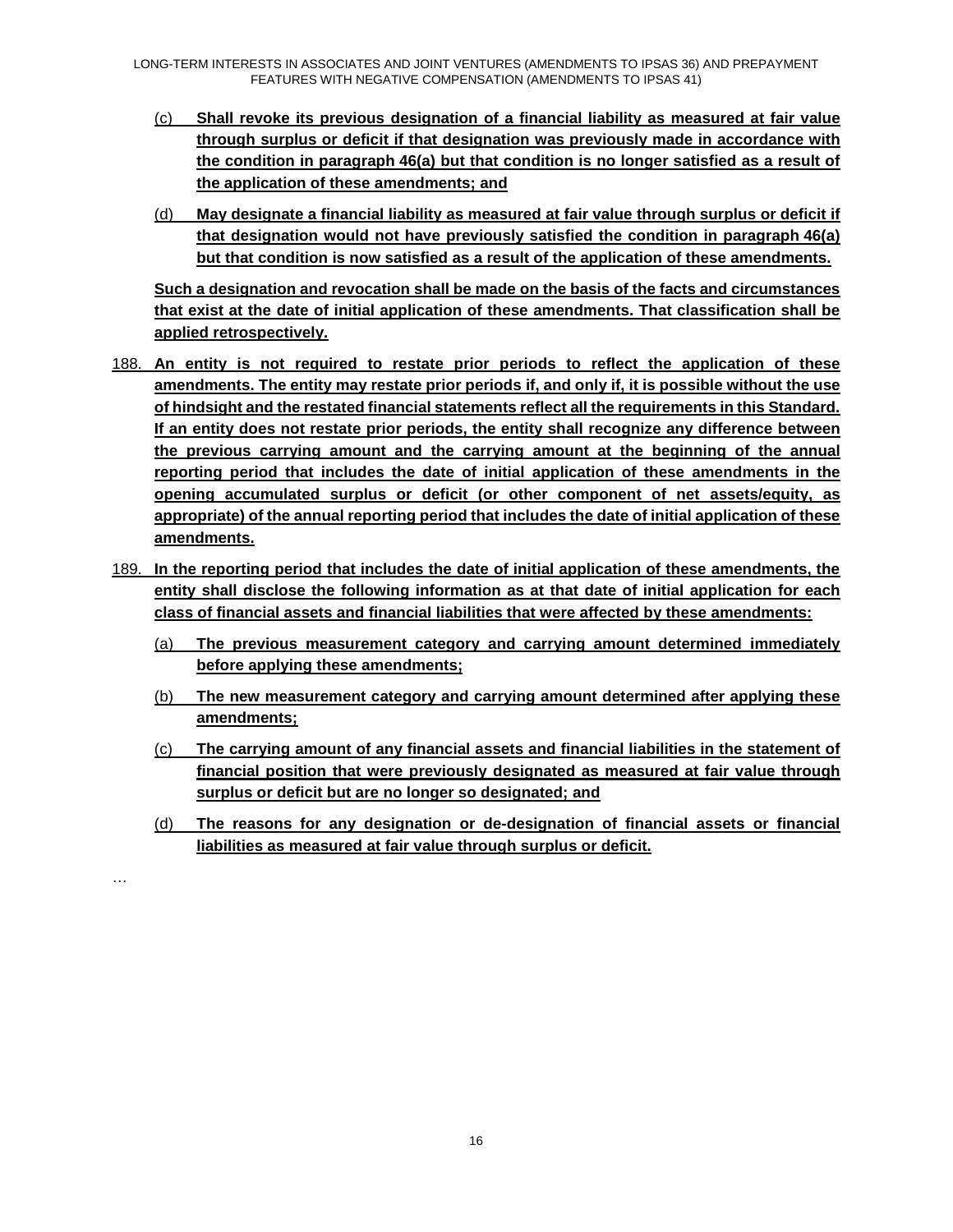- (c) **Shall revoke its previous designation of a financial liability as measured at fair value through surplus or deficit if that designation was previously made in accordance with the condition in paragraph 46(a) but that condition is no longer satisfied as a result of the application of these amendments; and**
- (d) **May designate a financial liability as measured at fair value through surplus or deficit if that designation would not have previously satisfied the condition in paragraph 46(a) but that condition is now satisfied as a result of the application of these amendments.**

**Such a designation and revocation shall be made on the basis of the facts and circumstances that exist at the date of initial application of these amendments. That classification shall be applied retrospectively.**

- 188. **An entity is not required to restate prior periods to reflect the application of these amendments. The entity may restate prior periods if, and only if, it is possible without the use of hindsight and the restated financial statements reflect all the requirements in this Standard. If an entity does not restate prior periods, the entity shall recognize any difference between the previous carrying amount and the carrying amount at the beginning of the annual reporting period that includes the date of initial application of these amendments in the opening accumulated surplus or deficit (or other component of net assets/equity, as appropriate) of the annual reporting period that includes the date of initial application of these amendments.**
- 189. **In the reporting period that includes the date of initial application of these amendments, the entity shall disclose the following information as at that date of initial application for each class of financial assets and financial liabilities that were affected by these amendments:**
	- (a) **The previous measurement category and carrying amount determined immediately before applying these amendments;**
	- (b) **The new measurement category and carrying amount determined after applying these amendments;**
	- (c) **The carrying amount of any financial assets and financial liabilities in the statement of financial position that were previously designated as measured at fair value through surplus or deficit but are no longer so designated; and**
	- (d) **The reasons for any designation or de-designation of financial assets or financial liabilities as measured at fair value through surplus or deficit.**

…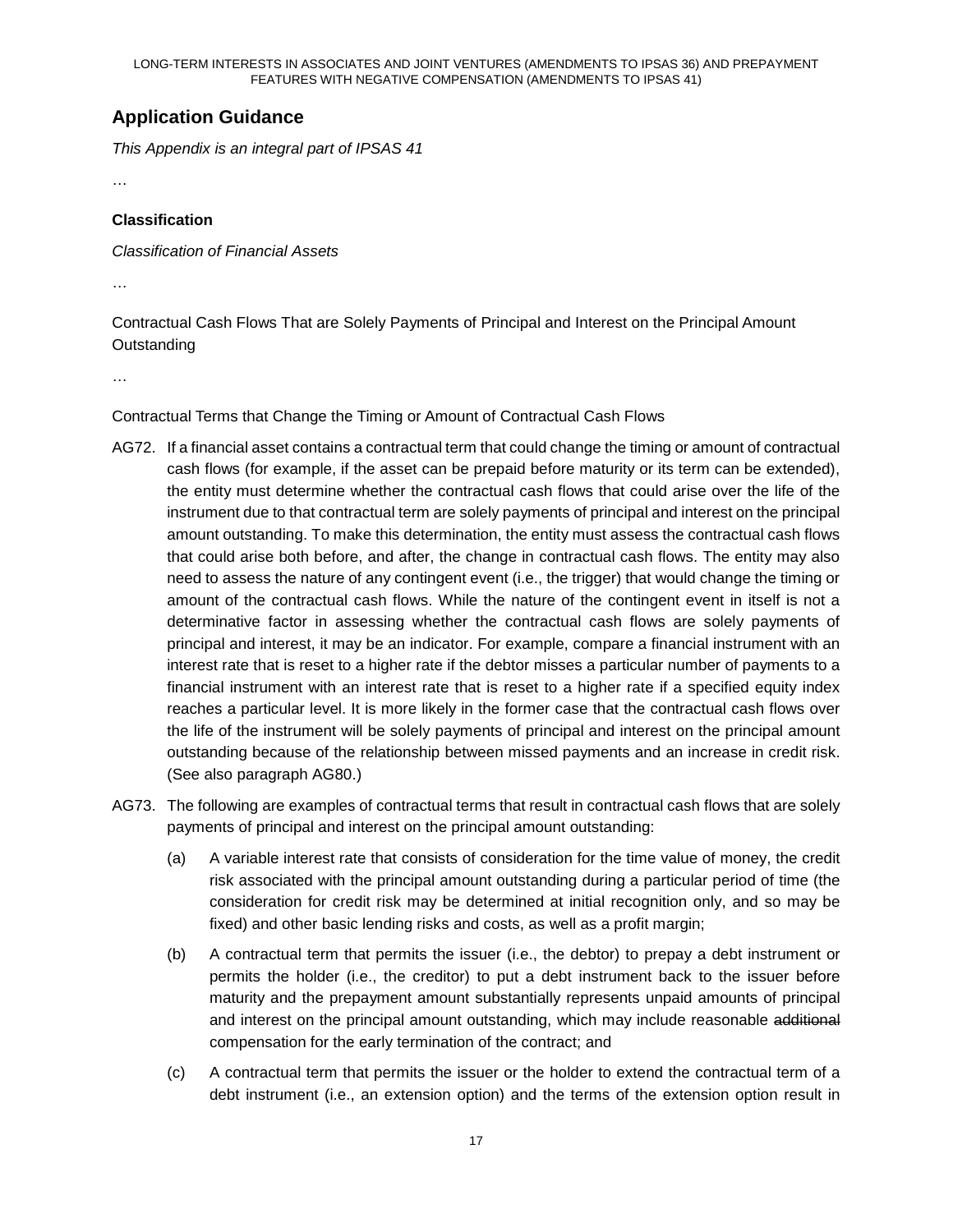# **Application Guidance**

*This Appendix is an integral part of IPSAS 41*

…

#### **Classification**

*Classification of Financial Assets*

…

Contractual Cash Flows That are Solely Payments of Principal and Interest on the Principal Amount **Outstanding** 

…

Contractual Terms that Change the Timing or Amount of Contractual Cash Flows

- AG72. If a financial asset contains a contractual term that could change the timing or amount of contractual cash flows (for example, if the asset can be prepaid before maturity or its term can be extended), the entity must determine whether the contractual cash flows that could arise over the life of the instrument due to that contractual term are solely payments of principal and interest on the principal amount outstanding. To make this determination, the entity must assess the contractual cash flows that could arise both before, and after, the change in contractual cash flows. The entity may also need to assess the nature of any contingent event (i.e., the trigger) that would change the timing or amount of the contractual cash flows. While the nature of the contingent event in itself is not a determinative factor in assessing whether the contractual cash flows are solely payments of principal and interest, it may be an indicator. For example, compare a financial instrument with an interest rate that is reset to a higher rate if the debtor misses a particular number of payments to a financial instrument with an interest rate that is reset to a higher rate if a specified equity index reaches a particular level. It is more likely in the former case that the contractual cash flows over the life of the instrument will be solely payments of principal and interest on the principal amount outstanding because of the relationship between missed payments and an increase in credit risk. (See also paragraph AG80.)
- AG73. The following are examples of contractual terms that result in contractual cash flows that are solely payments of principal and interest on the principal amount outstanding:
	- (a) A variable interest rate that consists of consideration for the time value of money, the credit risk associated with the principal amount outstanding during a particular period of time (the consideration for credit risk may be determined at initial recognition only, and so may be fixed) and other basic lending risks and costs, as well as a profit margin;
	- (b) A contractual term that permits the issuer (i.e., the debtor) to prepay a debt instrument or permits the holder (i.e., the creditor) to put a debt instrument back to the issuer before maturity and the prepayment amount substantially represents unpaid amounts of principal and interest on the principal amount outstanding, which may include reasonable additional compensation for the early termination of the contract; and
	- (c) A contractual term that permits the issuer or the holder to extend the contractual term of a debt instrument (i.e., an extension option) and the terms of the extension option result in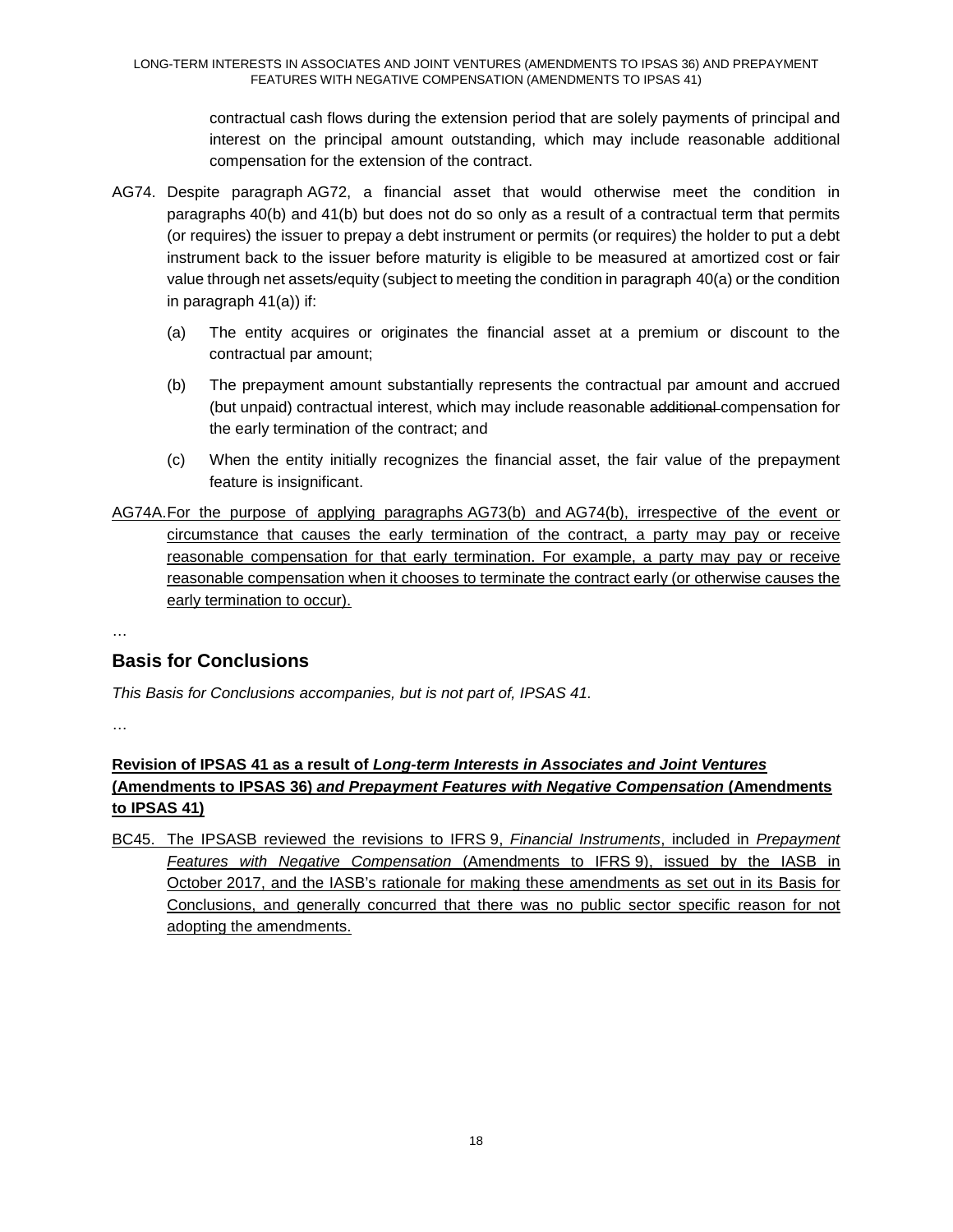contractual cash flows during the extension period that are solely payments of principal and interest on the principal amount outstanding, which may include reasonable additional compensation for the extension of the contract.

- AG74. Despite paragraph AG72, a financial asset that would otherwise meet the condition in paragraphs 40(b) and 41(b) but does not do so only as a result of a contractual term that permits (or requires) the issuer to prepay a debt instrument or permits (or requires) the holder to put a debt instrument back to the issuer before maturity is eligible to be measured at amortized cost or fair value through net assets/equity (subject to meeting the condition in paragraph 40(a) or the condition in paragraph 41(a)) if:
	- (a) The entity acquires or originates the financial asset at a premium or discount to the contractual par amount;
	- (b) The prepayment amount substantially represents the contractual par amount and accrued (but unpaid) contractual interest, which may include reasonable additional compensation for the early termination of the contract; and
	- (c) When the entity initially recognizes the financial asset, the fair value of the prepayment feature is insignificant.
- AG74A.For the purpose of applying paragraphs AG73(b) and AG74(b), irrespective of the event or circumstance that causes the early termination of the contract, a party may pay or receive reasonable compensation for that early termination. For example, a party may pay or receive reasonable compensation when it chooses to terminate the contract early (or otherwise causes the early termination to occur).

…

# **Basis for Conclusions**

*This Basis for Conclusions accompanies, but is not part of, IPSAS 41.*

…

## **Revision of IPSAS 41 as a result of** *Long-term Interests in Associates and Joint Ventures*  **(Amendments to IPSAS 36)** *and Prepayment Features with Negative Compensation* **(Amendments to IPSAS 41)**

BC45. The IPSASB reviewed the revisions to IFRS 9, *Financial Instruments*, included in *Prepayment Features with Negative Compensation* (Amendments to IFRS 9), issued by the IASB in October 2017, and the IASB's rationale for making these amendments as set out in its Basis for Conclusions, and generally concurred that there was no public sector specific reason for not adopting the amendments.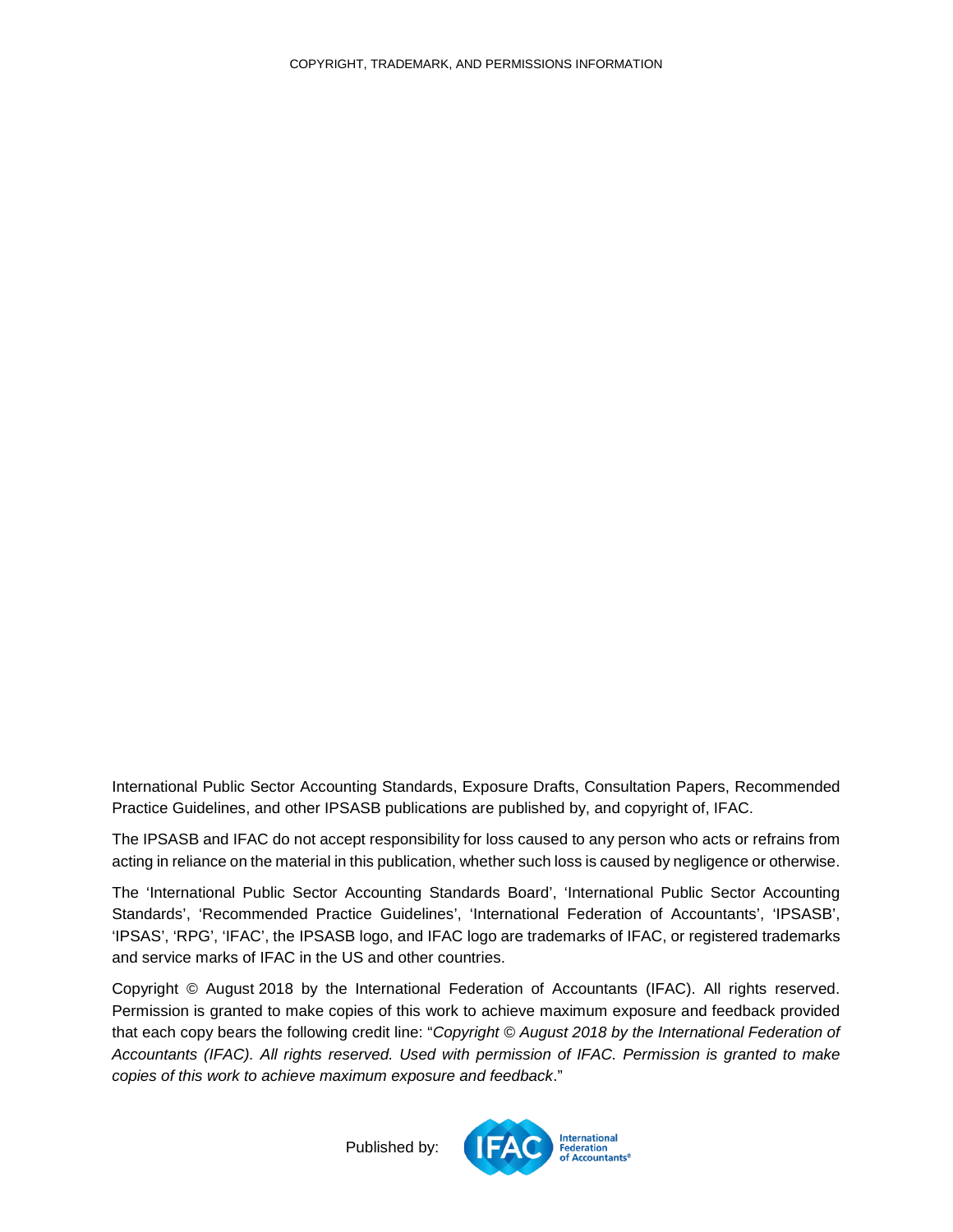<span id="page-18-0"></span>International Public Sector Accounting Standards, Exposure Drafts, Consultation Papers, Recommended Practice Guidelines, and other IPSASB publications are published by, and copyright of, IFAC.

The IPSASB and IFAC do not accept responsibility for loss caused to any person who acts or refrains from acting in reliance on the material in this publication, whether such loss is caused by negligence or otherwise.

The 'International Public Sector Accounting Standards Board', 'International Public Sector Accounting Standards', 'Recommended Practice Guidelines', 'International Federation of Accountants', 'IPSASB', 'IPSAS', 'RPG', 'IFAC', the IPSASB logo, and IFAC logo are trademarks of IFAC, or registered trademarks and service marks of IFAC in the US and other countries.

Copyright © August 2018 by the International Federation of Accountants (IFAC). All rights reserved. Permission is granted to make copies of this work to achieve maximum exposure and feedback provided that each copy bears the following credit line: "*Copyright © August 2018 by the International Federation of Accountants (IFAC). All rights reserved. Used with permission of IFAC. Permission is granted to make copies of this work to achieve maximum exposure and feedback*."

Published by: